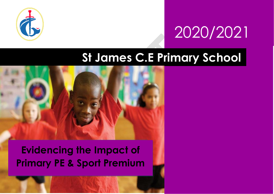

# 2020/2021

# **St James C.E Primary School**



**Evidencing the Impact of Primary PE & Sport Premium**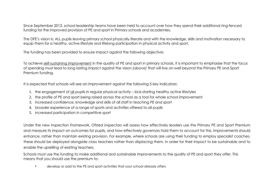Since September 2013, school leadership teams have been held to account over how they spend their additional ring-fenced funding for the improved provision of PE and sport in Primary schools and academies.

The DFE's vision is: ALL pupils leaving primary school physically literate and with the knowledge, skills and motivation necessary to equip them for a healthy, active lifestyle and lifelong participation in physical activity and sport.

The funding has been provided to ensure impact against the following objective**:** 

To achieve self-sustaining improvement in the quality of PE and sport in primary schools. It is important to emphasise that the focus of spending must lead to long lasting impact against the vision *(above)* that will live on well beyond the Primary PE and Sport Premium funding.

It is expected that schools will see an improvement against the following 5 key indicators:

- 1. the engagement of all pupils in regular physical activity kick-starting healthy active lifestyles
- 2. the profile of PE and sport being raised across the school as a tool for whole school improvement
- 3. increased confidence, knowledge and skills of all staff in teaching PE and sport
- 4. broader experience of a range of sports and activities offered to all pupils
- 5. increased participation in competitive sport

Under the new Inspection Framework, Ofsted inspectors will assess how effectively leaders use the Primary PE and Sport Premium and measure its impact on outcomes for pupils, and how effectively governors hold them to account for this. Improvements should enhance, rather than maintain existing provision. For example, where schools are using their funding to employ specialist coaches, these should be deployed alongside class teachers rather than displacing them, in order for their impact to be sustainable and to enable the upskilling of existing teachers.

Schools must use the funding to make additional and sustainable improvements to the quality of PE and sport they offer. This means that you should use the premium to:

• develop or add to the PE and sport activities that your school already offers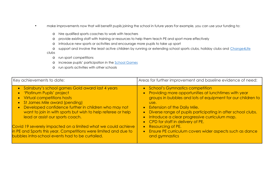- make improvements now that will benefit pupils joining the school in future years For example, you can use your funding to:
	- o hire qualified sports coaches to work with teachers
	- o provide existing staff with training or resources to help them teach PE and sport more effectively
	- o introduce new sports or activities and encourage more pupils to take up sport
	- o support and involve the least active children by running or extending school sports clubs, holiday clubs and [Change4Life](http://www.nhs.uk/change4life/Pages/change-for-life.aspx) clubs
		- o run sport competitions
		- o increase pupils' participation in the [School Games](https://www.gov.uk/government/policies/getting-more-people-playing-sport/supporting-pages/the-school-games)
		- o run sports activities with other schools

| Key achievements to date:                                                                                                                                                                                                                                                                                    | Areas for further improvement and baseline evidence of need:                                                                                                                                                                                                                                                                                                                                            |
|--------------------------------------------------------------------------------------------------------------------------------------------------------------------------------------------------------------------------------------------------------------------------------------------------------------|---------------------------------------------------------------------------------------------------------------------------------------------------------------------------------------------------------------------------------------------------------------------------------------------------------------------------------------------------------------------------------------------------------|
| • Sainsbury's school games Gold award last 4 years<br>• 'Platinum Pupils' project<br>Virtual competitions hosts<br>St James Mile award (pending)<br>Developed confidence further in children who may not<br>want to join in with sports but wish to help referee or help<br>lead or assist our sports coach. | <b>School's Gymnastics competition</b><br>$\bullet$<br>Providing more opportunities at lunchtimes with year<br>$\bullet$<br>groups in bubbles and lots of equipment for our children to<br>use.<br>• Extension of the Daily Mile.<br>• Diverse range of pupils participating in after school clubs.<br>Introduce a clear progressive curriculum map.<br>$\bullet$<br>• CPD for staff in delivery of PE. |
| Covid 19 severely impacted on a limited what we could achieve<br>in PE and Sports this year. Competitions were limited and due to<br>bubbles intra-school events had to be curtailed.                                                                                                                        | Resourcing of PE.<br>$\bullet$<br>• Ensure PE curriculum covers wider aspects such as dance<br>and gymnastics                                                                                                                                                                                                                                                                                           |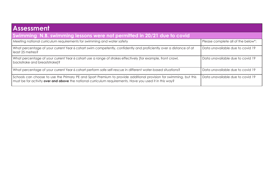| <b>Assessment</b>                                                                                                                                                                                                            |                                    |  |  |
|------------------------------------------------------------------------------------------------------------------------------------------------------------------------------------------------------------------------------|------------------------------------|--|--|
| Swimming N.B. swimming lessons were not permitted in 20/21 due to covid                                                                                                                                                      |                                    |  |  |
| Meeting national curriculum requirements for swimming and water safety                                                                                                                                                       | Please complete all of the below*: |  |  |
| What percentage of your current Year 6 cohort swim competently, confidently and proficiently over a distance of at<br>least 25 metres?                                                                                       | Data unavailable due to covid 19   |  |  |
| What percentage of your current Year 6 cohort use a range of strokes effectively [for example, front crawl,<br>backstroke and breaststrokel?                                                                                 | Data unavailable due to covid 19   |  |  |
| What percentage of your current Year 6 cohort perform safe self-rescue in different water-based situations?                                                                                                                  | Data unavailable due to covid 19   |  |  |
| Schools can choose to use the Primary PE and Sport Premium to provide additional provision for swimming, but this<br>must be for activity over and above the national curriculum requirements. Have you used it in this way? | Data unavailable due to covid 19   |  |  |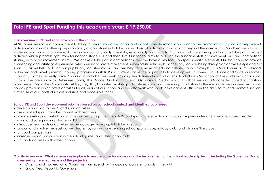## **Total PE and Sport Funding this academic year: £ 19,250.00**

#### **Brief overview of PE and sport provision in the school:**

At St James we make a commitment to being a physically active school and adopt a whole school approach to the promotion of Physical activity. We will actively work towards offering pupils a variety of opportunities to take part in physical activity both within and beyond the curriculum. Our objective is to assist in developing pupils into a well-adjusted individual: physically, mentally, emotionally and socially. Our pupils will have the opportunity to take part in varied activities which progress right from foundation stage KS1 and then KS2. Our school aims to build on the fundamentals of movement skills and competition starting with basic movement in EYFS. We actively take part in competitions, and we have a key focus on sport specific elements. Our staff hope to provide challenging and satisfying experiences which will incorporate movement, self-expression through dance, physical wellbeing through an active lifestyle and our sports clubs will help build on our pupil's physical literacy skills and will help raise more gifted and talented pupils through P.E. Our P.E curriculum is broad, balanced and developmental showing progression in skills. Pupils currently have the opportunity to develop skills in Gymnastic, Dance and Outdoor Games. Pupils at St James currently have 2 hours of quality P.E per week including lunch time clubs and after school clubs. Our school actively links with local sports clubs in the area such as Delamere Sports, TDS Dance, Gorton Institute of Gymnastics, Cedar Mount Football sessions, Manchester United foundation, Manchester City in the Community, Abbey Hey JFC, FC united workshops, Karate sessions and swimming. In addition to this we also have our very own sports holiday provision which offers activities for all pupils at our school and we also work with sports development officers in the area to try and promote sessions further. All of our sports clubs are inclusive and accessible for all.

### **School PE and Sport development priorities based on our school context and identified pupil need:**

- develop and add to the PE and sport activities
- hire qualified sports coaches to work with teachers
- provide existing staff with training or resources to help them teach PE and sport more effectively including FA primary teachers awards, subject leader training and Safeguarding children in P.E.
- introduce new sports or activities and encourage more pupils to take up sport
- support and involve the least active children by running or extending school sports clubs, holiday clubs and change4life clubs
- run sport competitions
- increase pupils' participation in the school games and after school clubs
- run sports activities with other schools

**Quality Assurance: What systems are in place to ensure value for money and the involvement of the school leadership team, including the Governing Body, in overseeing the effectiveness of the projects?** 

- Cross school moderation of Sports Premium spend by Principals of our sister schools in the MAT
- End of Year Report to Governors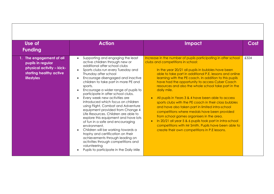| Use of<br><b>Funding</b>                                                                                                   | <b>Action</b>                                                                                                                                                                                                                                                                                                                                                                                                                                                                                                                                                                                                                                                                                                                                                                                                                                               | <b>Impact</b>                                                                                                                                                                                                                                                                                                                                                                                                                                                                                                                                                                                                                                                                                                                                                                                                                               | Cost |
|----------------------------------------------------------------------------------------------------------------------------|-------------------------------------------------------------------------------------------------------------------------------------------------------------------------------------------------------------------------------------------------------------------------------------------------------------------------------------------------------------------------------------------------------------------------------------------------------------------------------------------------------------------------------------------------------------------------------------------------------------------------------------------------------------------------------------------------------------------------------------------------------------------------------------------------------------------------------------------------------------|---------------------------------------------------------------------------------------------------------------------------------------------------------------------------------------------------------------------------------------------------------------------------------------------------------------------------------------------------------------------------------------------------------------------------------------------------------------------------------------------------------------------------------------------------------------------------------------------------------------------------------------------------------------------------------------------------------------------------------------------------------------------------------------------------------------------------------------------|------|
| 1. The engagement of all<br>pupils in regular<br>physical activity - kick-<br>starting healthy active<br><b>lifestyles</b> | Supporting and engaging the least<br>$\bullet$<br>active children through new or<br>additional after school clubs<br>Sports clubs run every Tuesday and<br>Thursday after school<br>Encourage disengaged and inactive<br>children to take part in more PE and<br>sports.<br>Encourage a wider range of pupils to<br>participate in after school clubs.<br>Every week new activities are<br>introduced which focus on children<br>using Flight, Combat and Adventure<br>equipment provided from Change 4<br>Life Resources. Children are able to<br>explore this equipment and have lots<br>of fun in a safe and encouraging<br>environment.<br>Children will be working towards a<br>trophy and certification on their<br>achievements through leading on<br>activities through competitions and<br>volunteering<br>Pupils to participate in the Daily Mile | Increase in the number of pupils participating in after school<br>clubs and competitions in school:<br>In the year 20/21 all pupils in bubbles have been<br>able to take part in additional P.E. lessons and online<br>learning with the PE coach. In addition to this pupils<br>have had the opportunity to access Cyber Coach<br>resources and also the whole school take part in the<br>daily mile.<br>All pupils in Years 3 & 4 have been able to access<br>sports clubs with the PE coach in their class bubbles<br>and have also taken part in limited intra-school<br>competitions where medals have been provided<br>from school games organisers in the area.<br>In 20/21 all year 5 & 6 pupils took part in intra-school<br>competitions with Mr Smith. Pupils have been able to<br>create their own competitions in P.E lessons. | £324 |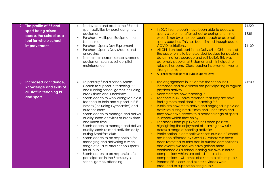| 2. The profile of PE and<br>sport being raised<br>across the school as a<br>tool for whole school<br>improvement | To develop and add to the PE and<br>$\bullet$<br>sport activities by purchasing new<br>equipment<br>Purchase Multisport Equipment for<br>Lunchtime<br>Purchase Sports Day Equipment<br>$\bullet$<br>Purchase Sport's Day Medals and<br>$\bullet$<br>engraving<br>To maintain current school supports<br>equipment such as school pitch<br>maintenance                                                                                                                                                                                                                                                                                                                                                                                                            | In 20/21 some pupils have been able to access a<br>$\bullet$<br>sports club either after school or during lunchtime<br>which is run by either our sports coach or external<br>sports coaches. This has been limited though due to<br><b>COVID restrictions.</b><br>All Children took part in the Daily Mile. Children had<br>$\bullet$<br>the opportunity to be rewarded badges for passion,<br>determination, courage and self-belief. This was<br>extremely popular at St James and it is helped to<br>raise self-esteem. Class teacher involvement was a<br>strong motivator.<br>All children took part in Bubble Sports Days<br>$\bullet$                                                                                                                                                                                                                                                                                                                                                                                                                                         | £1220<br>£835<br>£1100 |
|------------------------------------------------------------------------------------------------------------------|------------------------------------------------------------------------------------------------------------------------------------------------------------------------------------------------------------------------------------------------------------------------------------------------------------------------------------------------------------------------------------------------------------------------------------------------------------------------------------------------------------------------------------------------------------------------------------------------------------------------------------------------------------------------------------------------------------------------------------------------------------------|---------------------------------------------------------------------------------------------------------------------------------------------------------------------------------------------------------------------------------------------------------------------------------------------------------------------------------------------------------------------------------------------------------------------------------------------------------------------------------------------------------------------------------------------------------------------------------------------------------------------------------------------------------------------------------------------------------------------------------------------------------------------------------------------------------------------------------------------------------------------------------------------------------------------------------------------------------------------------------------------------------------------------------------------------------------------------------------|------------------------|
| 3. Increased confidence,<br>knowledge and skills of<br>all staff in teaching PE<br>and sport                     | To partially fund a school Sports<br>$\bullet$<br>Coach to support in teaching P.E<br>and running school games including<br>break times and lunchtimes<br>Sports coach to work alongside class<br>teachers to train and support in P.E<br>lessons (including Gymnastics) and<br>outdoor sports<br>Sports coach to manage and deliver<br>quality sports activities at break time<br>and lunch time<br>Sports coach to manage and deliver<br>quality sports related activities daily<br>during Breakfast club<br>Sports coach to be responsible for<br>managing and delivering a wide<br>range of quality after schools sports<br>for all pupils<br>Sports coach to be responsible for<br>$\bullet$<br>participation in the Sainsbury's<br>school games, attending | The engagement in P.E across the school has<br>increased and all children are participating in regular<br>physical activity.<br>More staff are now teaching P.E.<br>Teachers in KS1 have reported that they are now<br>feeling more confident in teaching P.E.<br>Pupils are now more active and engaged in physical<br>$\bullet$<br>activities during break times and lunch times and<br>they now have access to a broader range of sports<br>in school which they enjoy<br>Feedback from pupil voice has been positive,<br>highlighting the enjoyment of learning new skills<br>across a range of sporting activities.<br>Participation in competitive sports outside of school<br>has been affected by Covid 19. Where we have<br>been restricted to take part in outside competitions<br>and events, we feel we have gained more<br>confidence as a school leading our own in house<br>competitions which are called 'intra-school<br>competitions'. St James also set up platinum pupils.<br>Remote PE lessons and exercise videos were<br>produced to support isolating pupils. | £12000                 |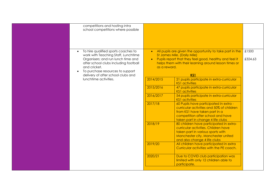| competitions and hosting intra<br>school competitions where possible                                                                                                                                                                                             |                                        |                                                                                                                                                                                                                   |                  |
|------------------------------------------------------------------------------------------------------------------------------------------------------------------------------------------------------------------------------------------------------------------|----------------------------------------|-------------------------------------------------------------------------------------------------------------------------------------------------------------------------------------------------------------------|------------------|
| To hire qualified sports coaches to<br>$\bullet$<br>work with Teaching Staff, Lunchtime<br>Organisers; and run lunch time and<br>after school clubs including football<br>and cricket.<br>To purchase resources to support<br>delivery of after school clubs and | $\bullet$<br>$\bullet$<br>as a reward. | All pupils are given the opportunity to take part in the<br>St James Mile. (Daily Mile)<br>Pupils report that they feel good, healthy and feel it<br>helps them with their learning around lesson times or<br>KS1 | £1500<br>£324.63 |
| lunchtime activities.                                                                                                                                                                                                                                            | 2014/2015                              | 21 pupils participate in extra-curricular<br><b>KS1</b> activities                                                                                                                                                |                  |
|                                                                                                                                                                                                                                                                  | 2015/2016                              | 47 pupils participate in extra-curricular<br><b>KS1</b> activities                                                                                                                                                |                  |
|                                                                                                                                                                                                                                                                  | 2016/2017                              | 54 pupils participate in extra-curricular<br><b>KS1</b> activities                                                                                                                                                |                  |
|                                                                                                                                                                                                                                                                  | 2017/18                                | 60 Pupils have participated in extra -<br>curricular activities and 50% of children<br>from KS1 have taken part in a<br>competition after school and have<br>taken part in change 4 life clubs                    |                  |
|                                                                                                                                                                                                                                                                  | 2018/19                                | 80 children have participated in extra-<br>curricular activities. Children have<br>taken part in various sports with<br>Manchester city, Manchester united<br>and also change 4 life clubs                        |                  |
|                                                                                                                                                                                                                                                                  | 2019/20                                | All children have participated in extra<br>Curricular activities with the PE coach.                                                                                                                               |                  |
|                                                                                                                                                                                                                                                                  | 2020/21                                | Due to COVID club participation was<br>limited with only 12 children able to<br>participate.                                                                                                                      |                  |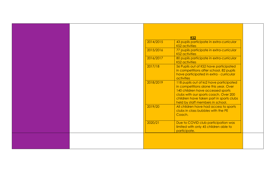|           | KS <sub>2</sub>                                                                                                                                                                                                                                |  |
|-----------|------------------------------------------------------------------------------------------------------------------------------------------------------------------------------------------------------------------------------------------------|--|
| 2014/2015 | 43 pupils participate in extra-curricular<br><b>KS2</b> activities                                                                                                                                                                             |  |
| 2015/2016 | 77 pupils participate in extra-curricular<br><b>KS2</b> activities                                                                                                                                                                             |  |
| 2016/2017 | 80 pupils participate in extra-curricular<br><b>KS2</b> activities                                                                                                                                                                             |  |
| 2017/18   | 56 Pupils out of KS2 have participated<br>in competitions after school. 82 pupils<br>have participated in extra - curricular<br>activities                                                                                                     |  |
| 2018/2019 | 118 pupils out of ks2 have participated<br>in competitions alone this year. Over<br>140 children have accessed sports<br>clubs with our sports coach. Over 200<br>children have taken part in sports clubs<br>held by staff members in school. |  |
| 2019/20   | All children have had access to sports<br>clubs in class bubbles with the PE<br>Coach.                                                                                                                                                         |  |
| 2020/21   | Due to COVID club participation was<br>limited with only 45 children able to<br>participate.                                                                                                                                                   |  |
|           |                                                                                                                                                                                                                                                |  |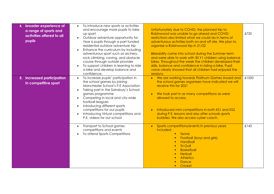| broader experience of<br>a range of sports and<br>activities offered to all<br>pupils | To introduce new sports or activities<br>and encourage more pupils to take<br>up sport<br>Outdoor adventure opportunity for<br>Year 6 pupils through a part funded<br>residential outdoor adventure trip<br>Enhance the curriculum by including<br>adventurous sport such as archery,<br>rock climbing, caving, and obstacle<br>course through outside provider<br>To support children in learning to ride<br>a bike and develop balance and<br>confidence. | Unfortunately due to COVID, the planned trip to<br>Robinwood was unable to go ahead and COVID<br>restrictions also limited what we could do in terms of<br>adventurous activities both on and off site. We plan to<br>organise a Robinwood trip in 21/22<br>Bikeability came into school during the Summer term<br>and were able to work with 30 Y1 children using balance<br>bikes. Throughout the week the children developed their<br>skills, balance and confidence in riding a bike. Pupil<br>voice clearly showed that all children had enjoyed the<br>sessions. | £720  |
|---------------------------------------------------------------------------------------|-------------------------------------------------------------------------------------------------------------------------------------------------------------------------------------------------------------------------------------------------------------------------------------------------------------------------------------------------------------------------------------------------------------------------------------------------------------|------------------------------------------------------------------------------------------------------------------------------------------------------------------------------------------------------------------------------------------------------------------------------------------------------------------------------------------------------------------------------------------------------------------------------------------------------------------------------------------------------------------------------------------------------------------------|-------|
| 5. increased participation<br>in competitive sport                                    | To increase pupils' participation in<br>the school games by joining<br>Manchester School's P.E Association<br>Taking part in the Sainsbury's School<br>$\bullet$<br>games programme<br>Competing in local and city-wide<br>football leagues<br>Introducing different sports<br>competitions for our pupils<br>Introducing Virtual competitions and<br>P.E. videos for our school                                                                            | • We are working towards Platinum Games Award and<br>the school games organisers have indicated we will<br>receive this for 2021<br>We took part in as many competitions as were<br>allowed to access.<br>Introduced mini competitions in both KS1 and KS2<br>during P.E. lessons and also after schools sports<br>bubbles. We also access cyber coach.                                                                                                                                                                                                                | £1000 |
|                                                                                       | Transport to School games<br>competitions and events<br>To attend Sports Competitions                                                                                                                                                                                                                                                                                                                                                                       | Sports competitions/events in previous years<br>$\bullet$<br>included:<br><b>Tennis</b><br><b>Football (boys and girls)</b><br>Handball<br>Tri-Golf<br><b>Basketball</b><br><b>Netball</b><br><b>Athletics</b><br>Dance<br>Cricket<br>$\blacksquare$                                                                                                                                                                                                                                                                                                                   | £145  |